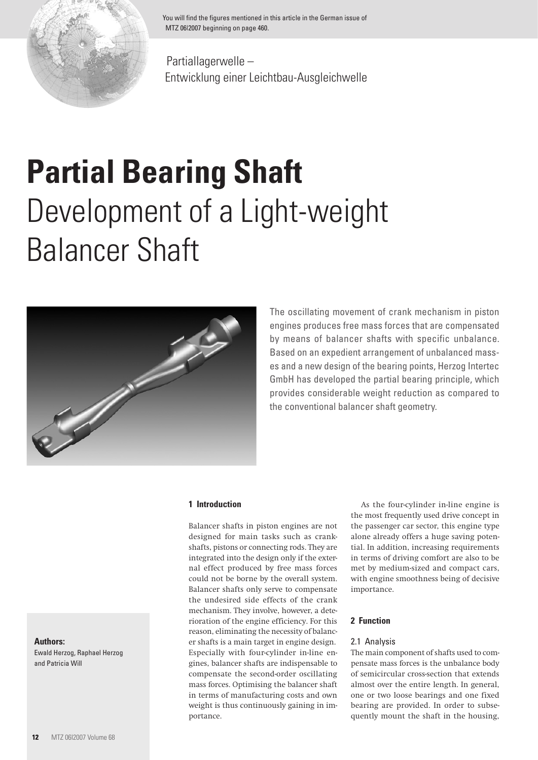

You will find the figures mentioned in this article in the German issue of MTZ 06I2007 beginning on page 460.

Partiallagerwelle – Entwicklung einer Leichtbau-Ausgleichwelle

# **Partial Bearing Shaft** Development of a Light-weight Balancer Shaft



The oscillating movement of crank mechanism in piston engines produces free mass forces that are compensated by means of balancer shafts with specific unbalance. Based on an expedient arrangement of unbalanced masses and a new design of the bearing points, Herzog Intertec GmbH has developed the partial bearing principle, which provides considerable weight reduction as compared to the conventional balancer shaft geometry.

# **1 Introduction**

Balancer shafts in piston engines are not designed for main tasks such as crankshafts, pistons or connecting rods. They are integrated into the design only if the external effect produced by free mass forces could not be borne by the overall system. Balancer shafts only serve to compensate the undesired side effects of the crank mechanism. They involve, however, a deterioration of the engine efficiency. For this reason, eliminating the necessity of balancer shafts is a main target in engine design. Especially with four-cylinder in-line engines, balancer shafts are indispensable to compensate the second-order oscillating mass forces. Optimising the balancer shaft in terms of manufacturing costs and own weight is thus continuously gaining in importance.

As the four-cylinder in-line engine is the most frequently used drive concept in the passenger car sector, this engine type alone already offers a huge saving potential. In addition, increasing requirements in terms of driving comfort are also to be met by medium-sized and compact cars, with engine smoothness being of decisive importance.

# **2 Function**

## 2.1 Analysis

The main component of shafts used to compensate mass forces is the unbalance body of semicircular cross-section that extends almost over the entire length. In general, one or two loose bearings and one fixed bearing are provided. In order to subsequently mount the shaft in the housing,

#### **Authors:**

Ewald Herzog, Raphael Herzog and Patricia Will